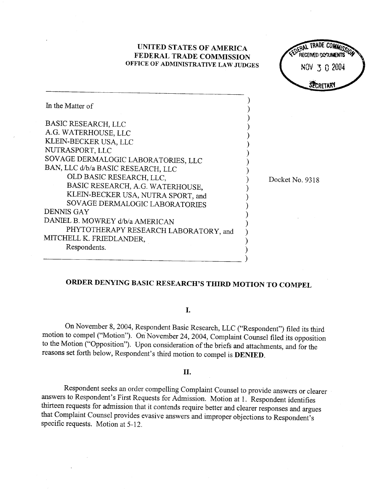

## ORDER DENYING BASIC RESEARCH'S THIRD MOTION TO COMPEL

I.

On November 8, 2004, Respondent Basic Research, LLC ("Respondent") filed its third motion to compel ("Motion"). On November 24, 2004, Complaint Counsel filed its opposition to the Motion ("Opposition"). Upon consideration of the briefs and attachments, and for the reasons set forth below, Respondent's third motion to compel is DENIED.

## II.

Respondent seeks an order compelling Complaint Counsel to provide answers or clearer answers to Respondent's First Requests for Admission. Motion at 1. Respondent identifies thirteen requests for admission that it contends require better and clearer responses and argues that Complaint Counsel provides evasive answers and improper objections to Respondent' specific requests. Motion at 5-12.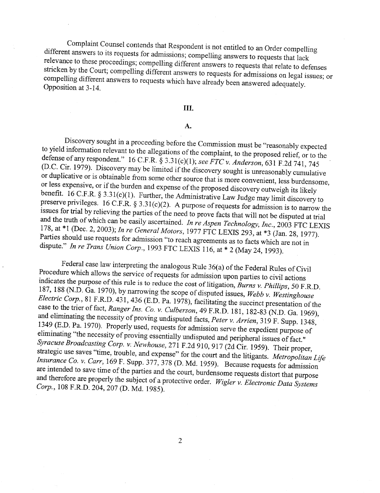Complaint Counsel contends that Respondent is not entitled to an Order compelling different answers to its requests for admissions; compelling answers to requests that lack relevance to these proceedings; compelling different answers to requests that relate to defenses stricken by the Court; compelling different answers to requests for admissions on legal issues; or compelling different answers to requests which have already been answered adequately. Opposition at 3- 14.

## III.

## A.

Discovery sought in a proceeding before the Commission must be "reasonably expected<br>to yield information relevant to the allegations of the complaint, to the proposed relief, or to the<br>defense of any respondent." 16 C.F.R or less expensive, or if the burden and expense of the proposed discovery outweigh its likely benefit. 16 C.F.R. § 3.31(c)(1). Further, the Administrative Law Judge may limit discovery to preserve privileges. 16 C.F.R. § 3.31(c)(2). A purpose of requests for admission is to narrow the issues for trial by relieving the parties of the need to prove facts that will not be disputed at trial and the truth of wh 178, at \*1 (Dec. 2, 2003); In re General Motors, 1977 FTC LEXIS 293, at \*3 (Jan. 28, 1977).<br>Parties should use requests for admission "to reach agreements as to facts which are not in dispute." In re Trans Union Corp., 1993 FTC LEXIS 116, at  $*$  2 (May 24, 1993).

Federal case law interpreting the analogous Rule 36(a) of the Federal Rules of Civil<br>Procedure which allows the service of requests for admission upon parties to civil actions<br>indicates the purpose of this rule is to reduc 187, 188 (N.D. Ga. 1970), by narrowing the scope of disputed issues, Webb v. Westinghouse Electric Corp., 81 F.R.D. 431, 436 (E.D. Pa. 1978), facilitating the succinct presentation of the case to the trier of fact, Ranger Ins. Co. v. Culberson, 49 F.R.D. 181, 182-83 (N.D. Ga. 1969), and eliminating the necessity of proving undisputed facts, Peter v. Arrien, 319 F. Supp. 1348, 1349 (E.D. Pa. 1970). Properly used, requests for admission serve the expedient purpose of eliminating "the necessity of proving essentially undisputed and peripheral issues of fact." Syracuse Broadcasting Corp. v. Newhouse, 271 F.2d 910, 917 (2d Cir. 1959). Their proper, strategic use saves "time, trouble, and expense" for the court and the litigants. Metropolitan Life Insurance Co. v. Carr, 169 F. Supp. 377, 378 (D. Md. 1959). Because requests for admission are intended to save time of the parties and the court, burdensome requests distort that purpose and therefore are properly the subject of a protective order. Wigler v. Electronic Data Systems<br>Corp., 108 F.R.D. 204, 207 (D. Md. 1985).